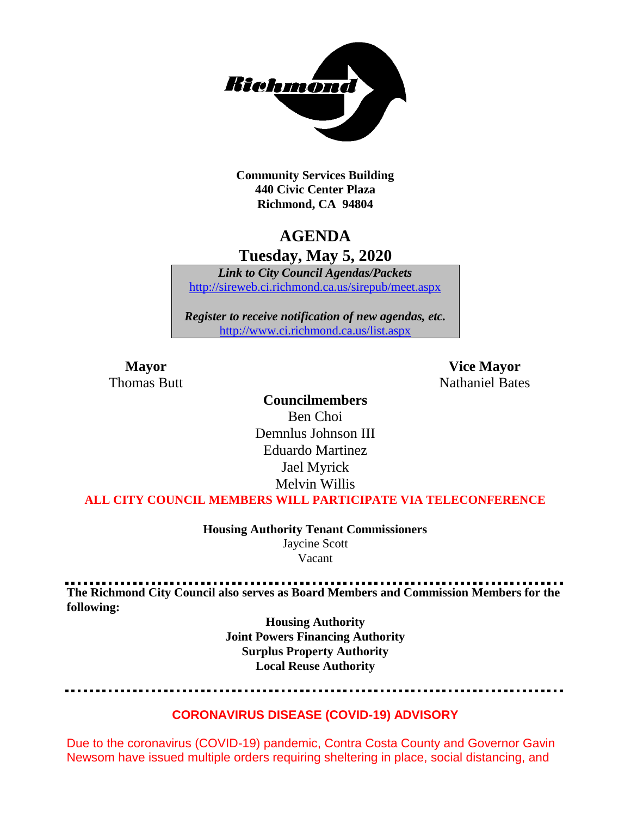

**Community Services Building 440 Civic Center Plaza Richmond, CA 94804**

# **AGENDA**

**Tuesday, May 5, 2020**

*Link to City Council Agendas/Packets* <http://sireweb.ci.richmond.ca.us/sirepub/meet.aspx>

*Register to receive notification of new agendas, etc.* <http://www.ci.richmond.ca.us/list.aspx>

**Mayor Vice Mayor** Thomas Butt **Nathaniel Bates** Nathaniel Bates

# **Councilmembers**

Ben Choi Demnlus Johnson III Eduardo Martinez Jael Myrick Melvin Willis

**ALL CITY COUNCIL MEMBERS WILL PARTICIPATE VIA TELECONFERENCE**

**Housing Authority Tenant Commissioners** Jaycine Scott Vacant

**The Richmond City Council also serves as Board Members and Commission Members for the following:**

> **Housing Authority Joint Powers Financing Authority Surplus Property Authority Local Reuse Authority**

# **CORONAVIRUS DISEASE (COVID-19) ADVISORY**

Due to the coronavirus (COVID-19) pandemic, Contra Costa County and Governor Gavin Newsom have issued multiple orders requiring sheltering in place, social distancing, and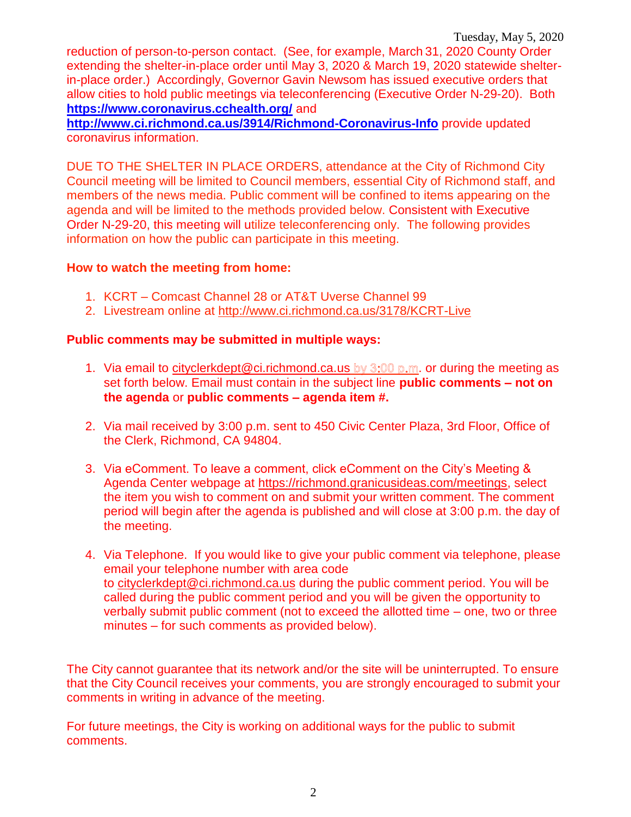reduction of person-to-person contact. (See, for example, March 31, 2020 County Order extending the shelter-in-place order until May 3, 2020 & March 19, 2020 statewide shelterin-place order.) Accordingly, Governor Gavin Newsom has issued executive orders that allow cities to hold public meetings via teleconferencing (Executive Order N-29-20). Both **<https://www.coronavirus.cchealth.org/>** and

**<http://www.ci.richmond.ca.us/3914/Richmond-Coronavirus-Info>** provide updated coronavirus information.

DUE TO THE SHELTER IN PLACE ORDERS, attendance at the City of Richmond City Council meeting will be limited to Council members, essential City of Richmond staff, and members of the news media. Public comment will be confined to items appearing on the agenda and will be limited to the methods provided below. Consistent with Executive Order N-29-20, this meeting will utilize teleconferencing only. The following provides information on how the public can participate in this meeting.

# **How to watch the meeting from home:**

- 1. KCRT Comcast Channel 28 or AT&T Uverse Channel 99
- 2. Livestream online at<http://www.ci.richmond.ca.us/3178/KCRT-Live>

# **Public comments may be submitted in multiple ways:**

- 1. Via email to [cityclerkdept@ci.richmond.ca.us](mailto:cityclerkdept@ci.richmond.ca.us) by  $3:00$  p.m. or during the meeting as set forth below. Email must contain in the subject line **public comments – not on the agenda** or **public comments – agenda item #.**
- 2. Via mail received by 3:00 p.m. sent to 450 Civic Center Plaza, 3rd Floor, Office of the Clerk, Richmond, CA 94804.
- 3. Via eComment. To leave a comment, click eComment on the City's Meeting & Agenda Center webpage at [https://richmond.granicusideas.com/meetings,](https://richmond.granicusideas.com/meetings) select the item you wish to comment on and submit your written comment. The comment period will begin after the agenda is published and will close at 3:00 p.m. the day of the meeting.
- 4. Via Telephone. If you would like to give your public comment via telephone, please email your telephone number with area code to [cityclerkdept@ci.richmond.ca.us](mailto:cityclerkdept@ci.richmond.ca.us) during the public comment period. You will be called during the public comment period and you will be given the opportunity to verbally submit public comment (not to exceed the allotted time – one, two or three minutes – for such comments as provided below).

The City cannot guarantee that its network and/or the site will be uninterrupted. To ensure that the City Council receives your comments, you are strongly encouraged to submit your comments in writing in advance of the meeting.

For future meetings, the City is working on additional ways for the public to submit comments.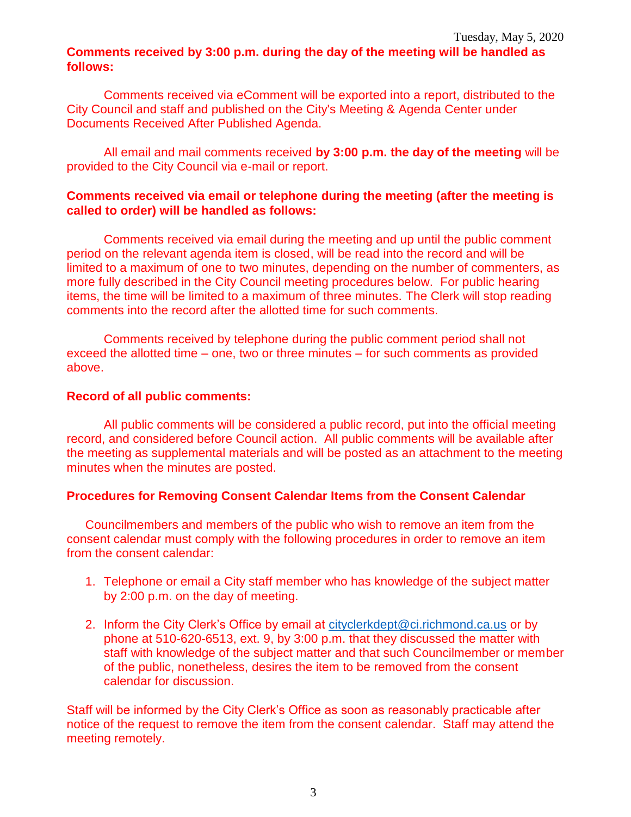# **Comments received by 3:00 p.m. during the day of the meeting will be handled as follows:**

Comments received via eComment will be exported into a report, distributed to the City Council and staff and published on the City's Meeting & Agenda Center under Documents Received After Published Agenda.

All email and mail comments received **by 3:00 p.m. the day of the meeting** will be provided to the City Council via e-mail or report.

# **Comments received via email or telephone during the meeting (after the meeting is called to order) will be handled as follows:**

Comments received via email during the meeting and up until the public comment period on the relevant agenda item is closed, will be read into the record and will be limited to a maximum of one to two minutes, depending on the number of commenters, as more fully described in the City Council meeting procedures below. For public hearing items, the time will be limited to a maximum of three minutes. The Clerk will stop reading comments into the record after the allotted time for such comments.

Comments received by telephone during the public comment period shall not exceed the allotted time – one, two or three minutes – for such comments as provided above.

#### **Record of all public comments:**

All public comments will be considered a public record, put into the official meeting record, and considered before Council action. All public comments will be available after the meeting as supplemental materials and will be posted as an attachment to the meeting minutes when the minutes are posted.

# **Procedures for Removing Consent Calendar Items from the Consent Calendar**

Councilmembers and members of the public who wish to remove an item from the consent calendar must comply with the following procedures in order to remove an item from the consent calendar:

- 1. Telephone or email a City staff member who has knowledge of the subject matter by 2:00 p.m. on the day of meeting.
- 2. Inform the City Clerk's Office by email at [cityclerkdept@ci.richmond.ca.us](mailto:cityclerkdept@ci.richmond.ca.us) or by phone at 510-620-6513, ext. 9, by 3:00 p.m. that they discussed the matter with staff with knowledge of the subject matter and that such Councilmember or member of the public, nonetheless, desires the item to be removed from the consent calendar for discussion.

Staff will be informed by the City Clerk's Office as soon as reasonably practicable after notice of the request to remove the item from the consent calendar. Staff may attend the meeting remotely.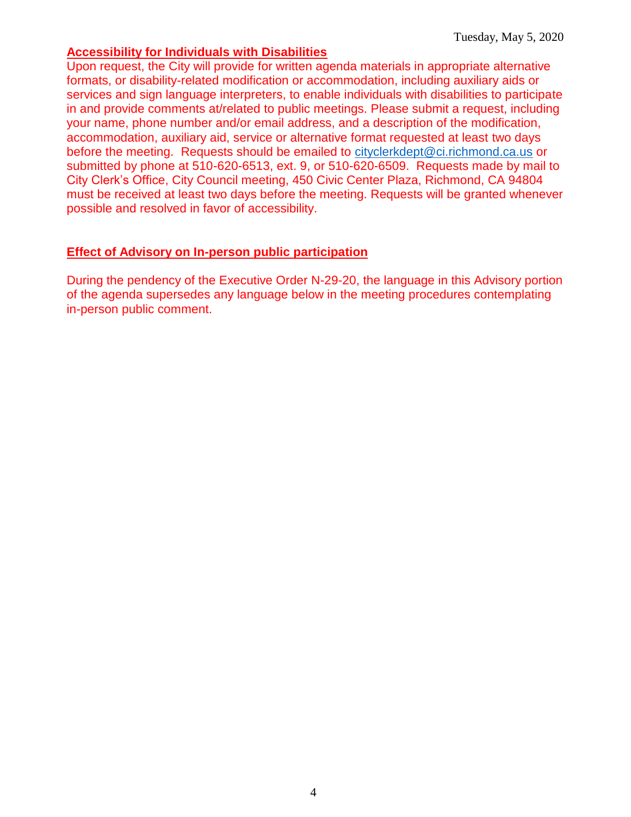#### **Accessibility for Individuals with Disabilities**

Upon request, the City will provide for written agenda materials in appropriate alternative formats, or disability-related modification or accommodation, including auxiliary aids or services and sign language interpreters, to enable individuals with disabilities to participate in and provide comments at/related to public meetings. Please submit a request, including your name, phone number and/or email address, and a description of the modification, accommodation, auxiliary aid, service or alternative format requested at least two days before the meeting. Requests should be emailed to [cityclerkdept@ci.richmond.ca.us](mailto:cityclerkdept@ci.richmond.ca.us) or submitted by phone at 510-620-6513, ext. 9, or 510-620-6509. Requests made by mail to City Clerk's Office, City Council meeting, 450 Civic Center Plaza, Richmond, CA 94804 must be received at least two days before the meeting. Requests will be granted whenever possible and resolved in favor of accessibility.

# **Effect of Advisory on In-person public participation**

During the pendency of the Executive Order N-29-20, the language in this Advisory portion of the agenda supersedes any language below in the meeting procedures contemplating in-person public comment.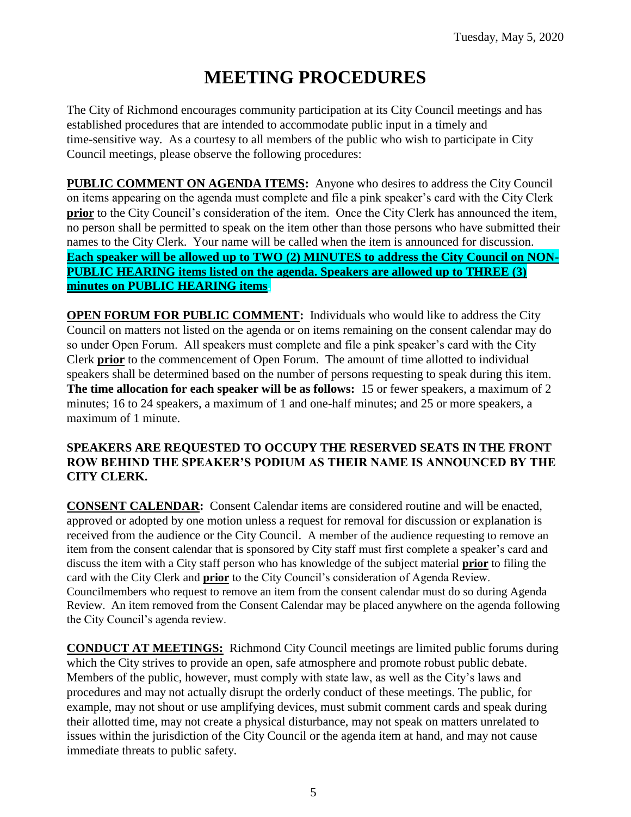# **MEETING PROCEDURES**

The City of Richmond encourages community participation at its City Council meetings and has established procedures that are intended to accommodate public input in a timely and time-sensitive way. As a courtesy to all members of the public who wish to participate in City Council meetings, please observe the following procedures:

**PUBLIC COMMENT ON AGENDA ITEMS:** Anyone who desires to address the City Council on items appearing on the agenda must complete and file a pink speaker's card with the City Clerk **prior** to the City Council's consideration of the item. Once the City Clerk has announced the item, no person shall be permitted to speak on the item other than those persons who have submitted their names to the City Clerk. Your name will be called when the item is announced for discussion. **Each speaker will be allowed up to TWO (2) MINUTES to address the City Council on NON-PUBLIC HEARING items listed on the agenda. Speakers are allowed up to THREE (3) minutes on PUBLIC HEARING items.**

**OPEN FORUM FOR PUBLIC COMMENT:** Individuals who would like to address the City Council on matters not listed on the agenda or on items remaining on the consent calendar may do so under Open Forum. All speakers must complete and file a pink speaker's card with the City Clerk **prior** to the commencement of Open Forum. The amount of time allotted to individual speakers shall be determined based on the number of persons requesting to speak during this item. **The time allocation for each speaker will be as follows:** 15 or fewer speakers, a maximum of 2 minutes; 16 to 24 speakers, a maximum of 1 and one-half minutes; and 25 or more speakers, a maximum of 1 minute.

# **SPEAKERS ARE REQUESTED TO OCCUPY THE RESERVED SEATS IN THE FRONT ROW BEHIND THE SPEAKER'S PODIUM AS THEIR NAME IS ANNOUNCED BY THE CITY CLERK.**

**CONSENT CALENDAR:** Consent Calendar items are considered routine and will be enacted, approved or adopted by one motion unless a request for removal for discussion or explanation is received from the audience or the City Council. A member of the audience requesting to remove an item from the consent calendar that is sponsored by City staff must first complete a speaker's card and discuss the item with a City staff person who has knowledge of the subject material **prior** to filing the card with the City Clerk and **prior** to the City Council's consideration of Agenda Review. Councilmembers who request to remove an item from the consent calendar must do so during Agenda Review. An item removed from the Consent Calendar may be placed anywhere on the agenda following the City Council's agenda review.

**CONDUCT AT MEETINGS:** Richmond City Council meetings are limited public forums during which the City strives to provide an open, safe atmosphere and promote robust public debate. Members of the public, however, must comply with state law, as well as the City's laws and procedures and may not actually disrupt the orderly conduct of these meetings. The public, for example, may not shout or use amplifying devices, must submit comment cards and speak during their allotted time, may not create a physical disturbance, may not speak on matters unrelated to issues within the jurisdiction of the City Council or the agenda item at hand, and may not cause immediate threats to public safety.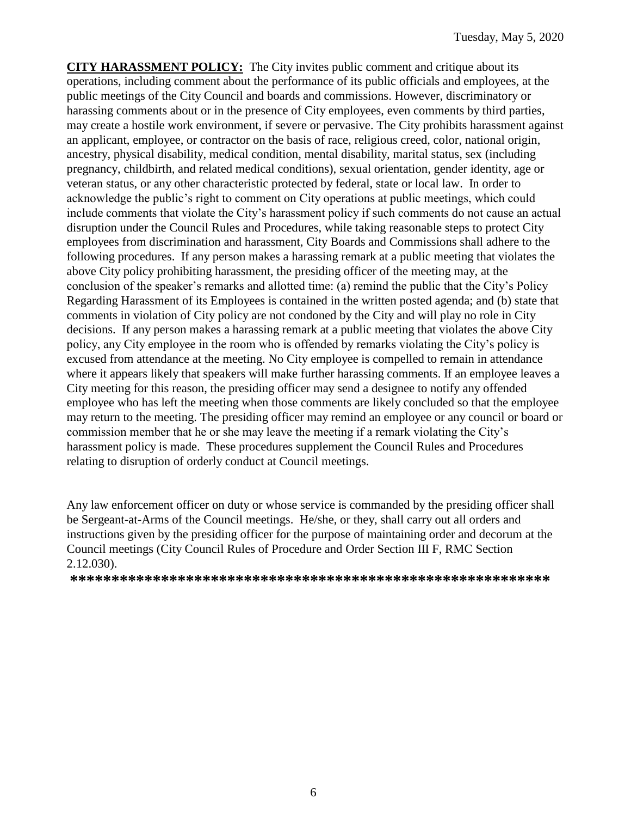**CITY HARASSMENT POLICY:** The City invites public comment and critique about its operations, including comment about the performance of its public officials and employees, at the public meetings of the City Council and boards and commissions. However, discriminatory or harassing comments about or in the presence of City employees, even comments by third parties, may create a hostile work environment, if severe or pervasive. The City prohibits harassment against an applicant, employee, or contractor on the basis of race, religious creed, color, national origin, ancestry, physical disability, medical condition, mental disability, marital status, sex (including pregnancy, childbirth, and related medical conditions), sexual orientation, gender identity, age or veteran status, or any other characteristic protected by federal, state or local law. In order to acknowledge the public's right to comment on City operations at public meetings, which could include comments that violate the City's harassment policy if such comments do not cause an actual disruption under the Council Rules and Procedures, while taking reasonable steps to protect City employees from discrimination and harassment, City Boards and Commissions shall adhere to the following procedures. If any person makes a harassing remark at a public meeting that violates the above City policy prohibiting harassment, the presiding officer of the meeting may, at the conclusion of the speaker's remarks and allotted time: (a) remind the public that the City's Policy Regarding Harassment of its Employees is contained in the written posted agenda; and (b) state that comments in violation of City policy are not condoned by the City and will play no role in City decisions. If any person makes a harassing remark at a public meeting that violates the above City policy, any City employee in the room who is offended by remarks violating the City's policy is excused from attendance at the meeting. No City employee is compelled to remain in attendance where it appears likely that speakers will make further harassing comments. If an employee leaves a City meeting for this reason, the presiding officer may send a designee to notify any offended employee who has left the meeting when those comments are likely concluded so that the employee may return to the meeting. The presiding officer may remind an employee or any council or board or commission member that he or she may leave the meeting if a remark violating the City's harassment policy is made. These procedures supplement the Council Rules and Procedures relating to disruption of orderly conduct at Council meetings.

Any law enforcement officer on duty or whose service is commanded by the presiding officer shall be Sergeant-at-Arms of the Council meetings. He/she, or they, shall carry out all orders and instructions given by the presiding officer for the purpose of maintaining order and decorum at the Council meetings (City Council Rules of Procedure and Order Section III F, RMC Section 2.12.030).

**\*\*\*\*\*\*\*\*\*\*\*\*\*\*\*\*\*\*\*\*\*\*\*\*\*\*\*\*\*\*\*\*\*\*\*\*\*\*\*\*\*\*\*\*\*\*\*\*\*\*\*\*\*\*\*\*\*\***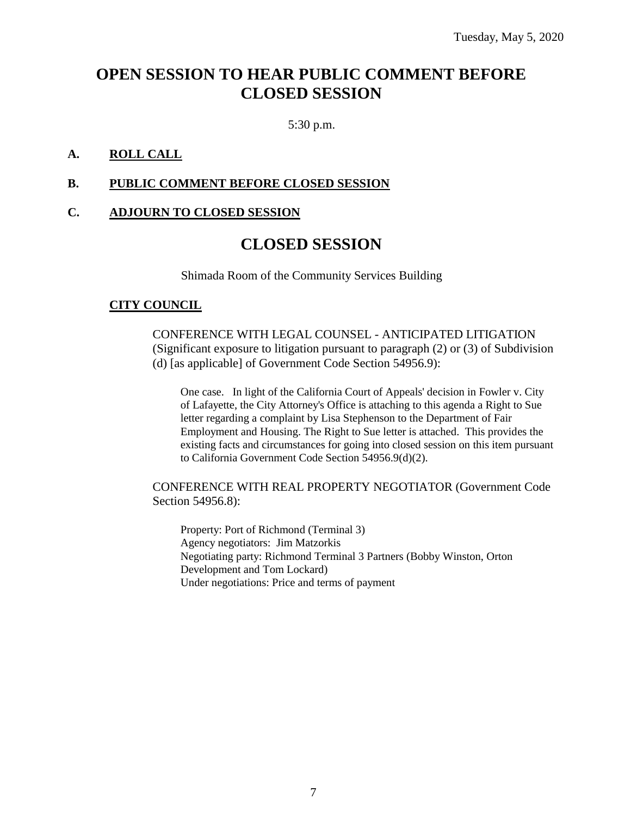# **OPEN SESSION TO HEAR PUBLIC COMMENT BEFORE CLOSED SESSION**

5:30 p.m.

# **A. ROLL CALL**

#### **B. PUBLIC COMMENT BEFORE CLOSED SESSION**

# **C. ADJOURN TO CLOSED SESSION**

# **CLOSED SESSION**

Shimada Room of the Community Services Building

#### **CITY COUNCIL**

CONFERENCE WITH LEGAL COUNSEL - ANTICIPATED LITIGATION (Significant exposure to litigation pursuant to paragraph (2) or (3) of Subdivision (d) [as applicable] of Government Code Section 54956.9):

One case. In light of the California Court of Appeals' decision in Fowler v. City of Lafayette, the City Attorney's Office is attaching to this agenda a Right to Sue letter regarding a complaint by Lisa Stephenson to the Department of Fair Employment and Housing. The Right to Sue letter is attached. This provides the existing facts and circumstances for going into closed session on this item pursuant to California Government Code Section 54956.9(d)(2).

CONFERENCE WITH REAL PROPERTY NEGOTIATOR (Government Code Section 54956.8):

Property: Port of Richmond (Terminal 3) Agency negotiators: Jim Matzorkis Negotiating party: Richmond Terminal 3 Partners (Bobby Winston, Orton Development and Tom Lockard) Under negotiations: Price and terms of payment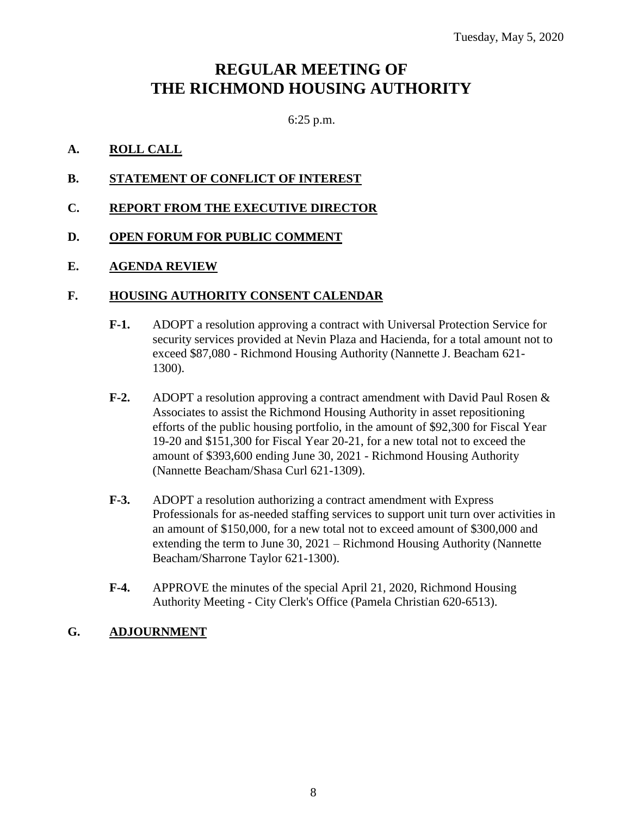# **REGULAR MEETING OF THE RICHMOND HOUSING AUTHORITY**

6:25 p.m.

# **A. ROLL CALL**

- **B. STATEMENT OF CONFLICT OF INTEREST**
- **C. REPORT FROM THE EXECUTIVE DIRECTOR**
- **D. OPEN FORUM FOR PUBLIC COMMENT**

# **E. AGENDA REVIEW**

# **F. HOUSING AUTHORITY CONSENT CALENDAR**

- **F-1.** ADOPT a resolution approving a contract with Universal Protection Service for security services provided at Nevin Plaza and Hacienda, for a total amount not to exceed \$87,080 - Richmond Housing Authority (Nannette J. Beacham 621- 1300).
- **F-2.** ADOPT a resolution approving a contract amendment with David Paul Rosen & Associates to assist the Richmond Housing Authority in asset repositioning efforts of the public housing portfolio, in the amount of \$92,300 for Fiscal Year 19-20 and \$151,300 for Fiscal Year 20-21, for a new total not to exceed the amount of \$393,600 ending June 30, 2021 - Richmond Housing Authority (Nannette Beacham/Shasa Curl 621-1309).
- **F-3.** ADOPT a resolution authorizing a contract amendment with Express Professionals for as-needed staffing services to support unit turn over activities in an amount of \$150,000, for a new total not to exceed amount of \$300,000 and extending the term to June 30, 2021 – Richmond Housing Authority (Nannette Beacham/Sharrone Taylor 621-1300).
- **F-4.** APPROVE the minutes of the special April 21, 2020, Richmond Housing Authority Meeting - City Clerk's Office (Pamela Christian 620-6513).

# **G. ADJOURNMENT**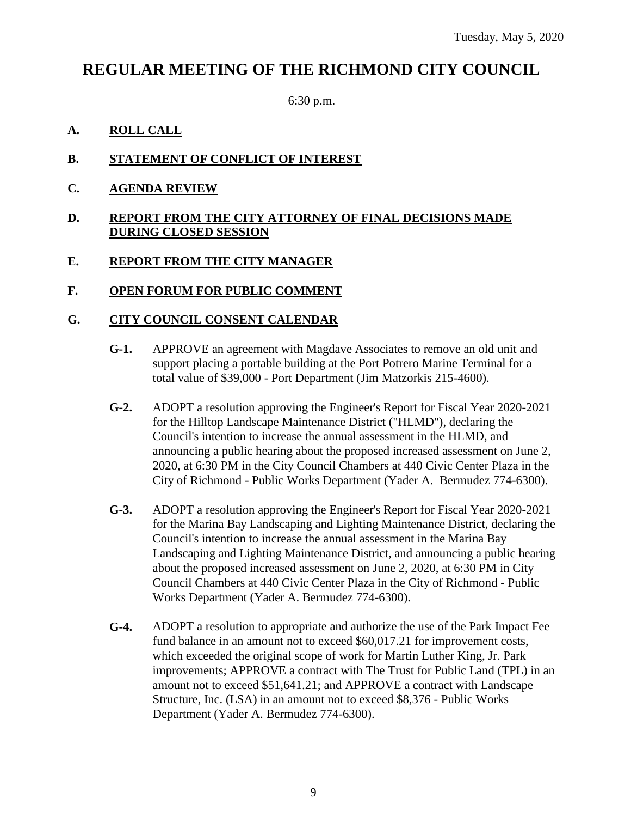# **REGULAR MEETING OF THE RICHMOND CITY COUNCIL**

6:30 p.m.

# **A. ROLL CALL**

# **B. STATEMENT OF CONFLICT OF INTEREST**

**C. AGENDA REVIEW**

# **D. REPORT FROM THE CITY ATTORNEY OF FINAL DECISIONS MADE DURING CLOSED SESSION**

# **E. REPORT FROM THE CITY MANAGER**

# **F. OPEN FORUM FOR PUBLIC COMMENT**

# **G. CITY COUNCIL CONSENT CALENDAR**

- **G-1.** APPROVE an agreement with Magdave Associates to remove an old unit and support placing a portable building at the Port Potrero Marine Terminal for a total value of \$39,000 - Port Department (Jim Matzorkis 215-4600).
- **G-2.** ADOPT a resolution approving the Engineer's Report for Fiscal Year 2020-2021 for the Hilltop Landscape Maintenance District ("HLMD"), declaring the Council's intention to increase the annual assessment in the HLMD, and announcing a public hearing about the proposed increased assessment on June 2, 2020, at 6:30 PM in the City Council Chambers at 440 Civic Center Plaza in the City of Richmond - Public Works Department (Yader A. Bermudez 774-6300).
- **G-3.** ADOPT a resolution approving the Engineer's Report for Fiscal Year 2020-2021 for the Marina Bay Landscaping and Lighting Maintenance District, declaring the Council's intention to increase the annual assessment in the Marina Bay Landscaping and Lighting Maintenance District, and announcing a public hearing about the proposed increased assessment on June 2, 2020, at 6:30 PM in City Council Chambers at 440 Civic Center Plaza in the City of Richmond - Public Works Department (Yader A. Bermudez 774-6300).
- **G-4.** ADOPT a resolution to appropriate and authorize the use of the Park Impact Fee fund balance in an amount not to exceed \$60,017.21 for improvement costs, which exceeded the original scope of work for Martin Luther King, Jr. Park improvements; APPROVE a contract with The Trust for Public Land (TPL) in an amount not to exceed \$51,641.21; and APPROVE a contract with Landscape Structure, Inc. (LSA) in an amount not to exceed \$8,376 - Public Works Department (Yader A. Bermudez 774-6300).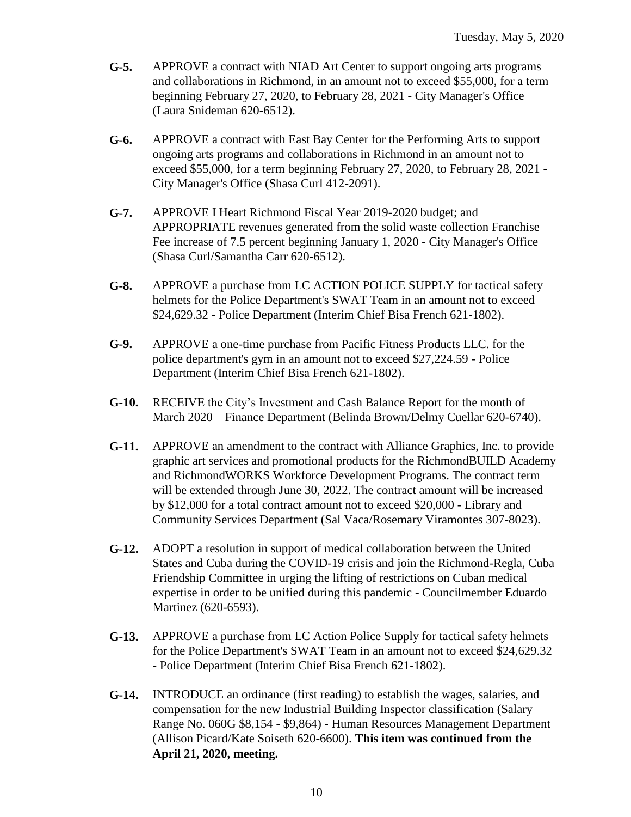- **G-5.** APPROVE a contract with NIAD Art Center to support ongoing arts programs and collaborations in Richmond, in an amount not to exceed \$55,000, for a term beginning February 27, 2020, to February 28, 2021 - City Manager's Office (Laura Snideman 620-6512).
- **G-6.** APPROVE a contract with East Bay Center for the Performing Arts to support ongoing arts programs and collaborations in Richmond in an amount not to exceed \$55,000, for a term beginning February 27, 2020, to February 28, 2021 - City Manager's Office (Shasa Curl 412-2091).
- **G-7.** APPROVE I Heart Richmond Fiscal Year 2019-2020 budget; and APPROPRIATE revenues generated from the solid waste collection Franchise Fee increase of 7.5 percent beginning January 1, 2020 - City Manager's Office (Shasa Curl/Samantha Carr 620-6512).
- **G-8.** APPROVE a purchase from LC ACTION POLICE SUPPLY for tactical safety helmets for the Police Department's SWAT Team in an amount not to exceed \$24,629.32 - Police Department (Interim Chief Bisa French 621-1802).
- **G-9.** APPROVE a one-time purchase from Pacific Fitness Products LLC. for the police department's gym in an amount not to exceed \$27,224.59 - Police Department (Interim Chief Bisa French 621-1802).
- **G-10.** RECEIVE the City's Investment and Cash Balance Report for the month of March 2020 – Finance Department (Belinda Brown/Delmy Cuellar 620-6740).
- **G-11.** APPROVE an amendment to the contract with Alliance Graphics, Inc. to provide graphic art services and promotional products for the RichmondBUILD Academy and RichmondWORKS Workforce Development Programs. The contract term will be extended through June 30, 2022. The contract amount will be increased by \$12,000 for a total contract amount not to exceed \$20,000 - Library and Community Services Department (Sal Vaca/Rosemary Viramontes 307-8023).
- **G-12.** ADOPT a resolution in support of medical collaboration between the United States and Cuba during the COVID-19 crisis and join the Richmond-Regla, Cuba Friendship Committee in urging the lifting of restrictions on Cuban medical expertise in order to be unified during this pandemic - Councilmember Eduardo Martinez (620-6593).
- **G-13.** APPROVE a purchase from LC Action Police Supply for tactical safety helmets for the Police Department's SWAT Team in an amount not to exceed \$24,629.32 - Police Department (Interim Chief Bisa French 621-1802).
- **G-14.** INTRODUCE an ordinance (first reading) to establish the wages, salaries, and compensation for the new Industrial Building Inspector classification (Salary Range No. 060G \$8,154 - \$9,864) - Human Resources Management Department (Allison Picard/Kate Soiseth 620-6600). **This item was continued from the April 21, 2020, meeting.**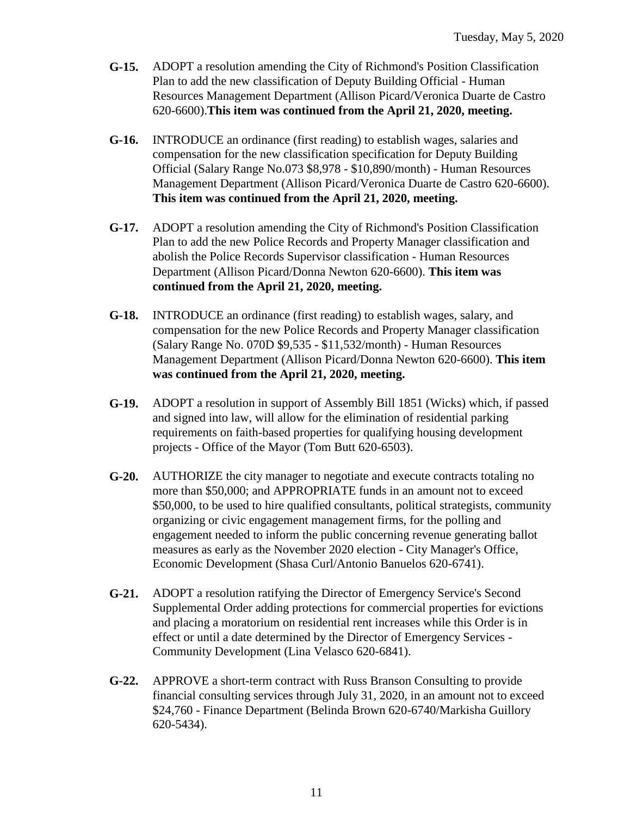- **G-15.** ADOPT a resolution amending the City of Richmond's Position Classification Plan to add the new classification of Deputy Building Official - Human Resources Management Department (Allison Picard/Veronica Duarte de Castro 620-6600).**This item was continued from the April 21, 2020, meeting.**
- **G-16.** INTRODUCE an ordinance (first reading) to establish wages, salaries and compensation for the new classification specification for Deputy Building Official (Salary Range No.073 \$8,978 - \$10,890/month) - Human Resources Management Department (Allison Picard/Veronica Duarte de Castro 620-6600). **This item was continued from the April 21, 2020, meeting.**
- **G-17.** ADOPT a resolution amending the City of Richmond's Position Classification Plan to add the new Police Records and Property Manager classification and abolish the Police Records Supervisor classification - Human Resources Department (Allison Picard/Donna Newton 620-6600). **This item was continued from the April 21, 2020, meeting.**
- **G-18.** INTRODUCE an ordinance (first reading) to establish wages, salary, and compensation for the new Police Records and Property Manager classification (Salary Range No. 070D \$9,535 - \$11,532/month) - Human Resources Management Department (Allison Picard/Donna Newton 620-6600). **This item was continued from the April 21, 2020, meeting.**
- **G-19.** ADOPT a resolution in support of Assembly Bill 1851 (Wicks) which, if passed and signed into law, will allow for the elimination of residential parking requirements on faith-based properties for qualifying housing development projects - Office of the Mayor (Tom Butt 620-6503).
- **G-20.** AUTHORIZE the city manager to negotiate and execute contracts totaling no more than \$50,000; and APPROPRIATE funds in an amount not to exceed \$50,000, to be used to hire qualified consultants, political strategists, community organizing or civic engagement management firms, for the polling and engagement needed to inform the public concerning revenue generating ballot measures as early as the November 2020 election - City Manager's Office, Economic Development (Shasa Curl/Antonio Banuelos 620-6741).
- **G-21.** ADOPT a resolution ratifying the Director of Emergency Service's Second Supplemental Order adding protections for commercial properties for evictions and placing a moratorium on residential rent increases while this Order is in effect or until a date determined by the Director of Emergency Services - Community Development (Lina Velasco 620-6841).
- **G-22.** APPROVE a short-term contract with Russ Branson Consulting to provide financial consulting services through July 31, 2020, in an amount not to exceed \$24,760 - Finance Department (Belinda Brown 620-6740/Markisha Guillory 620-5434).